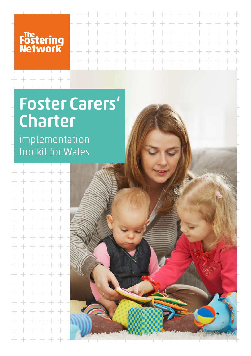Fostering<br>Network

## Foster Carers' Charter

implementation toolkit for Wales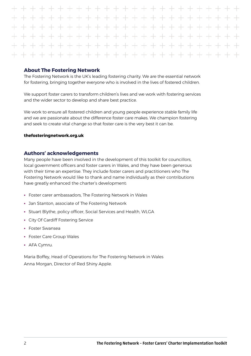#### **About The Fostering Network**

The Fostering Network is the UK's leading fostering charity. We are the essential network for fostering, bringing together everyone who is involved in the lives of fostered children.

We support foster carers to transform children's lives and we work with fostering services and the wider sector to develop and share best practice.

We work to ensure all fostered children and young people experience stable family life and we are passionate about the difference foster care makes. We champion fostering and seek to create vital change so that foster care is the very best it can be.

#### **thefosteringnetwork.org.uk**

#### **Authors' acknowledgements**

Many people have been involved in the development of this toolkit for councillors, local government officers and foster carers in Wales, and they have been generous with their time an expertise. They include foster carers and practitioners who The Fostering Network would like to thank and name individually as their contributions have greatly enhanced the charter's development:

- Foster carer ambassadors, The Fostering Network in Wales
- Jan Stanton, associate of The Fostering Network
- Stuart Blythe, policy officer, Social Services and Health, WLGA
- City Of Cardiff Fostering Service
- Foster Swansea
- Foster Care Group Wales
- AFA Cymru.

Maria Boffey, Head of Operations for The Fostering Network in Wales Anna Morgan, Director of Red Shiny Apple.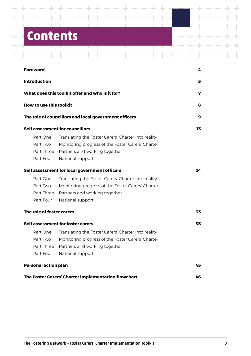## **Contents**

Τ

 $+$ 

Τ

 $+$ 

 $\overline{\phantom{0}}$ 

 $\overline{\phantom{0}}$ 

 $\overline{\phantom{0}}$ 

 $+$ 

 $+$ 

 $+$ 

 $\begin{tabular}{c} \multicolumn{2}{c} {\textbf{1}} & \multicolumn{2}{c} {\textbf{1}} & \multicolumn{2}{c} {\textbf{1}} \\ \multicolumn{2}{c} {\textbf{1}} & \multicolumn{2}{c} {\textbf{1}} & \multicolumn{2}{c} {\textbf{1}} \\ \multicolumn{2}{c} {\textbf{1}} & \multicolumn{2}{c} {\textbf{1}} & \multicolumn{2}{c} {\textbf{1}} \\ \multicolumn{2}{c} {\textbf{1}} & \multicolumn{2}{c} {\textbf{1}} & \multicolumn{2}{c} {\textbf{1}} \\ \multicolumn{2}{c} {\textbf{1}} & \multicolumn$ 

 $\top$ 

 $++$ 

 $+ +$ 

 $\overline{\mathcal{A}}$  . The set of  $\overline{\mathcal{A}}$ 

 $+$ 

T

 $+$ 

<u> TENET T</u>

+ + + + + + + + + + + + +

 $+$ 

 $+$ 

 $+$ 

 $+$ 

 $+ +$ 

T,

 $\overline{\phantom{a}}$ 

T,

 $+$  $\overline{\phantom{a}}$ 

T

U.  $\pm$ L.

 $\pm$ 

 $\div$ 

 $\pm$ 

 $+$ 

 $+$ 

 $+$ 

 $+$ 

 $+$ 

 $+ + + +$ 

| Foreword                                        |                                                                                                                                                                                                                | 4  |
|-------------------------------------------------|----------------------------------------------------------------------------------------------------------------------------------------------------------------------------------------------------------------|----|
| <b>Introduction</b>                             |                                                                                                                                                                                                                | 5  |
|                                                 | What does this toolkit offer and who is it for?                                                                                                                                                                | 7  |
| How to use this toolkit                         |                                                                                                                                                                                                                | 8  |
|                                                 | The role of councillors and local government officers                                                                                                                                                          | 9  |
|                                                 | Self assessment for councillors                                                                                                                                                                                | 13 |
| Part One<br>Part Two<br>Part Three<br>Part Four | Translating the Foster Carers' Charter into reality<br>Monitoring progress of the Foster Carers' Charter<br>Partners and working together<br>National support<br>Self assessment for local government officers | 24 |
| Part One<br>Part Two<br>Part Three<br>Part Four | Translating the Foster Carers' Charter into reality<br>Monitoring progress of the Foster Carers' Charter<br>Partners and working together<br>National support                                                  |    |
| The role of foster carers                       |                                                                                                                                                                                                                | 33 |
| Part One<br>Part Two<br>Part Four               | Self assessment for foster carers<br>Translating the Foster Carers' Charter into reality<br>Monitoring progress of the Foster Carers' Charter<br>Part Three Partners and working together<br>National support  | 35 |
| <b>Personal action plan</b>                     |                                                                                                                                                                                                                | 45 |
|                                                 | The Foster Carers' Charter implementation flowchart                                                                                                                                                            | 46 |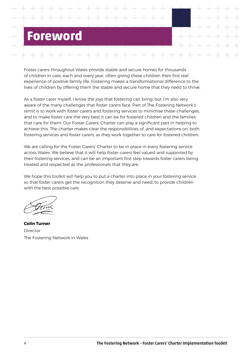## <span id="page-3-0"></span>**PWOT**

Foster carers throughout Wales provide stable and secure homes for thousands of children in care, each and every year, often giving these children their first real experience of positive family life. Fostering makes a transformational difference to the lives of children by offering them the stable and secure home that they need to thrive.

As a foster carer myself, I know the joys that fostering can bring; but I'm also very aware of the many challenges that foster carers face. Part of The Fostering Network's remit is to work with foster carers and fostering services to minimise these challenges, and to make foster care the very best it can be for fostered children and the families that care for them. Our Foster Carers' Charter can play a significant part in helping to achieve this. The charter makes clear the responsibilities of, and expectations on, both fostering services and foster carers, as they work together to care for fostered children.

We are calling for the Foster Carers' Charter to be in place in every fostering service across Wales. We believe that it will help foster carers feel valued and supported by their fostering services, and can be an important first step towards foster carers being treated and respected as the professionals that they are.

We hope this toolkit will help you to put a charter into place in your fostering service so that foster carers get the recognition they deserve and need, to provide children with the best possible care.

**Colin Turner** Director The Fostering Network in Wales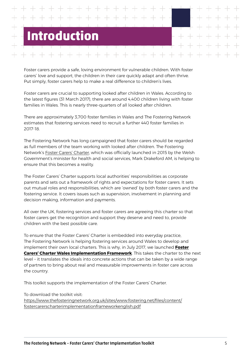# <span id="page-4-0"></span>**Introduction**

Foster carers provide a safe, loving environment for vulnerable children. With foster carers' love and support, the children in their care quickly adapt and often thrive. Put simply, foster carers help to make a real difference to children's lives.

Foster carers are crucial to supporting looked after children in Wales. According to the latest figures (31 March 2017), there are around 4,400 children living with foster families in Wales. This is nearly three-quarters of all looked after children.

There are approximately 3,700 foster families in Wales and The Fostering Network estimates that fostering services need to recruit a further 440 foster families in 2017-18.

The Fostering Network has long campaigned that foster carers should be regarded as full members of the team working with looked after children. The Fostering Network's [Foster Carers' Charter](https://www.thefosteringnetwork.org.uk/policy-practice/projects-and-programmes/fostering-excellence/foster-carers-charter-in-wales), which was officially launched in 2015 by the Welsh Government's minister for health and social services, Mark Drakeford AM, is helping to ensure that this becomes a reality.

The Foster Carers' Charter supports local authorities' responsibilities as corporate parents and sets out a framework of rights and expectations for foster carers. It sets out mutual roles and responsibilities, which are 'owned' by both foster carers and the fostering service. It covers issues such as supervision, involvement in planning and decision making, information and payments.

All over the UK, fostering services and foster carers are agreeing this charter so that foster carers get the recognition and support they deserve and need to, provide children with the best possible care.

To ensure that the Foster Carers' Charter is embedded into everyday practice, The Fostering Network is helping fostering services around Wales to develop and implement their own local charters. This is why, in July 2017, we launched **[Foster](https://www.thefosteringnetwork.org.uk/sites/www.fostering.net/files/content/fostercarerscharterimplementationframeworkenglish.pdf) [Carers' Charter Wales Implementation Framework](https://www.thefosteringnetwork.org.uk/sites/www.fostering.net/files/content/fostercarerscharterimplementationframeworkenglish.pdf)**. This takes the charter to the next level – it translates the ideals into concrete actions that can be taken by a wide range of partners to bring about real and measurable improvements in foster care across the country.

This toolkit supports the implementation of the Foster Carers' Charter.

To download the toolkit visit:

[https://www.thefosteringnetwork.org.uk/sites/www.fostering.net/files/content/](https://www.thefosteringnetwork.org.uk/sites/www.fostering.net/files/content/fostercarerscharterimplementationframeworkenglish.pdf) [fostercarerscharterimplementationframeworkenglish.pdf](https://www.thefosteringnetwork.org.uk/sites/www.fostering.net/files/content/fostercarerscharterimplementationframeworkenglish.pdf)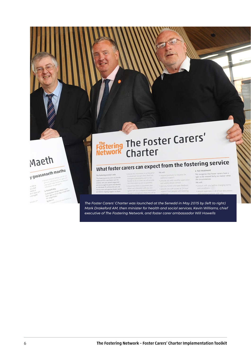## Maeth

## gwasanaeth maethu

| l Annaz                                                                     | · direction of estate distribution and the<br>Found y deleyed genu o di splaza de                                                                                                        |
|-----------------------------------------------------------------------------|------------------------------------------------------------------------------------------------------------------------------------------------------------------------------------------|
| ing bot<br>bod <sub>E.It</sub><br>serol yn<br>h ir wolu výn.<br>eich golal. | admission metric metal real dispara<br>hyforddari neu prinspelly<br>Cydrallyddwn fod Ein olalwyr maeth<br>b. Triniaeth deg<br>hawl i garl eu uno yn deg-ni waech bed-<br>for smplohadau. |
| <b>COLLECTION</b>                                                           | in Kirklings ranged below as an<br>Bydden yn:                                                                                                                                            |

# Föstering The Foster Carers'

#### What foster carers can expect from the fostering service We will

#### The fostering service's role

The lostering service aims to provide<br>usable and first rate foster care for<br>usable and first rate foster care for<br>children who are valued, supported<br>and encouraged to grow and develop train and approve foster carer his information in writing prior<br>nent (except when there are<br>cy placements and it is not<br>o do so, when we will provide<br>mation as soon as possible) there is a placement plan

- respond postwely to requests for<br>additional support<br>- provide you with monthly supervision<br>and weekly phone contact . give you honest and open feedback se you with access to 24 hour<br>int from people with fostering

6. Fair treatment<br>We recognise that foster carers have a<br>right to be treated fairly, no matter what<br>the circumstances.

We will: · consult with you before changing term and condition

*The Foster Carers' Charter was launched at the Senedd in May 2015 by (left to right) Mark Drakeford AM, then minister for health and social services, Kevin Williams, chief executive of The Fostering Network, and foster carer ambassador Will Howells*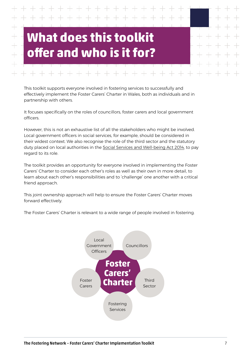## <span id="page-6-0"></span>**What does this toolkit offer and who is it for?**

This toolkit supports everyone involved in fostering services to successfully and effectively implement the Foster Carers' Charter in Wales, both as individuals and in partnership with others.

It focuses specifically on the roles of councillors, foster carers and local government officers.

However, this is not an exhaustive list of all the stakeholders who might be involved. Local government officers in social services, for example, should be considered in their widest context. We also recognise the role of the third sector and the statutory duty placed on local authorities in the [Social Services and Well-being Act 2014](https://socialcare.wales/hub/sswbact), to pay regard to its role.

The toolkit provides an opportunity for everyone involved in implementing the Foster Carers' Charter to consider each other's roles as well as their own in more detail, to learn about each other's responsibilities and to 'challenge' one another with a critical friend approach.

This joint ownership approach will help to ensure the Foster Carers' Charter moves forward effectively.

The Foster Carers' Charter is relevant to a wide range of people involved in fostering.

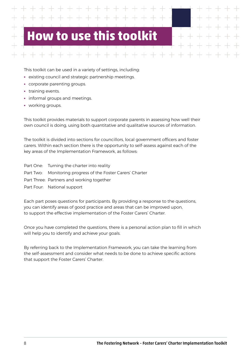## <span id="page-7-0"></span>**to use this tool**

This toolkit can be used in a variety of settings, including:

- **•** existing council and strategic partnership meetings.
- **•** corporate parenting groups.
- **•** training events.
- **•** informal groups and meetings.
- **•** working groups.

This toolkit provides materials to support corporate parents in assessing how well their own council is doing, using both quantitative and qualitative sources of information.

The toolkit is divided into sections for councillors, local government officers and foster carers. Within each section there is the opportunity to self-assess against each of the key areas of the Implementation Framework, as follows:

Part One: Turning the charter into reality Part Two: Monitoring progress of the Foster Carers' Charter Part Three: Partners and working together Part Four: National support

Each part poses questions for participants. By providing a response to the questions, you can identify areas of good practice and areas that can be improved upon, to support the effective implementation of the Foster Carers' Charter.

Once you have completed the questions, there is a personal action plan to fill in which will help you to identify and achieve your goals.

By referring back to the Implementation Framework, you can take the learning from the self-assessment and consider what needs to be done to achieve specific actions that support the Foster Carers' Charter.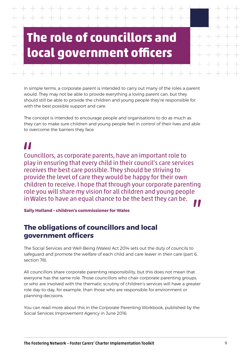# <span id="page-8-0"></span>**The role of councillors and local government officers**

In simple terms, a corporate parent is intended to carry out many of the roles a parent would. They may not be able to provide everything a loving parent can, but they should still be able to provide the children and young people they're responsible for with the best possible support and care.

The concept is intended to encourage people and organisations to do as much as they can to make sure children and young people feel in control of their lives and able to overcome the barriers they face.

## "

Councillors, as corporate parents, have an important role to play in ensuring that every child in their council's care services receives the best care possible. They should be striving to provide the level of care they would be happy for their own children to receive. I hope that through your corporate parenting role you will share my vision for all children and young people in Wales to have an equal chance to be the best they can be.

**Sally Holland – children's commissioner for Wales**

#### **The obligations of councillors and local government officers**

The Social Services and Well-Being (Wales) Act 2014 sets out the duty of councils to safeguard and promote the welfare of each child and care leaver in their care (part 6, section 78).

All councillors share corporate parenting responsibility, but this does not mean that everyone has the same role. Those councillors who chair corporate parenting groups, or who are involved with the thematic scrutiny of children's services will have a greater role day-to-day, for example, than those who are responsible for environment or planning decisions.

You can read more about this in the Corporate Parenting Workbook, published by the Social Services Improvement Agency in June 2016.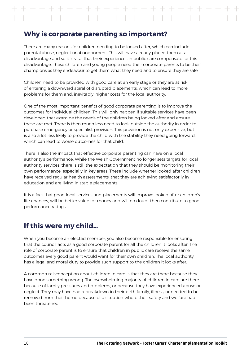#### **Why is corporate parenting so important?**

There are many reasons for children needing to be looked after, which can include parental abuse, neglect or abandonment. This will have already placed them at a disadvantage and so it is vital that their experiences in public care compensate for this disadvantage. These children and young people need their corporate parents to be their champions as they endeavour to get them what they need and to ensure they are safe.

Children need to be provided with good care at an early stage or they are at risk of entering a downward spiral of disrupted placements, which can lead to more problems for them and, inevitably, higher costs for the local authority.

One of the most important benefits of good corporate parenting is to improve the outcomes for individual children. This will only happen if suitable services have been developed that examine the needs of the children being looked after and ensure these are met. There is then much less need to look outside the authority in order to purchase emergency or specialist provision. This provision is not only expensive, but is also a lot less likely to provide the child with the stability they need going forward, which can lead to worse outcomes for that child.

There is also the impact that effective corporate parenting can have on a local authority's performance. While the Welsh Government no longer sets targets for local authority services, there is still the expectation that they should be monitoring their own performance, especially in key areas. These include whether looked after children have received regular health assessments, that they are achieving satisfactorily in education and are living in stable placements.

It is a fact that good local services and placements will improve looked after children's life chances, will be better value for money and will no doubt then contribute to good performance ratings.

#### **If this were my child…**

When you become an elected member, you also become responsible for ensuring that the council acts as a good corporate parent for all the children it looks after. The role of corporate parent is to ensure that children in public care receive the same outcomes every good parent would want for their own children. The local authority has a legal and moral duty to provide such support to the children it looks after.

A common misconception about children in care is that they are there because they have done something wrong. The overwhelming majority of children in care are there because of family pressures and problems, or because they have experienced abuse or neglect. They may have had a breakdown in their birth family, illness, or needed to be removed from their home because of a situation where their safety and welfare had been threatened.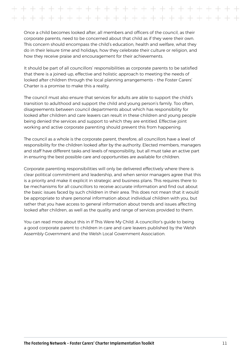Once a child becomes looked after, all members and officers of the council, as their corporate parents, need to be concerned about that child as if they were their own. This concern should encompass the child's education, health and welfare, what they do in their leisure time and holidays, how they celebrate their culture or religion, and how they receive praise and encouragement for their achievements.

It should be part of all councillors' responsibilities as corporate parents to be satisfied that there is a joined-up, effective and holistic approach to meeting the needs of looked after children through the local planning arrangements – the Foster Carers' Charter is a promise to make this a reality.

The council must also ensure that services for adults are able to support the child's transition to adulthood and support the child and young person's family. Too often, disagreements between council departments about which has responsibility for looked after children and care leavers can result in these children and young people being denied the services and support to which they are entitled. Effective joint working and active corporate parenting should prevent this from happening.

The council as a whole is the corporate parent, therefore, all councillors have a level of responsibility for the children looked after by the authority. Elected members, managers and staff have different tasks and levels of responsibility, but all must take an active part in ensuring the best possible care and opportunities are available for children.

Corporate parenting responsibilities will only be delivered effectively where there is clear political commitment and leadership, and when senior managers agree that this is a priority and make it explicit in strategic and business plans. This requires there to be mechanisms for all councillors to receive accurate information and find out about the basic issues faced by such children in their area. This does not mean that it would be appropriate to share personal information about individual children with you, but rather that you have access to general information about trends and issues affecting looked after children, as well as the quality and range of services provided to them.

You can read more about this in If This Were My Child: A councillor's guide to being a good corporate parent to children in care and care leavers published by the Welsh Assembly Government and the Welsh Local Government Association.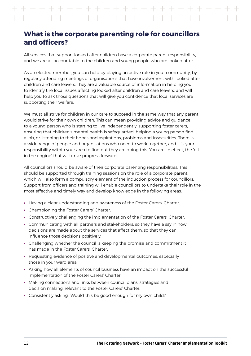#### **What is the corporate parenting role for councillors and officers?**

All services that support looked after children have a corporate parent responsibility, and we are all accountable to the children and young people who are looked after.

As an elected member, you can help by playing an active role in your community, by regularly attending meetings of organisations that have involvement with looked after children and care leavers. They are a valuable source of information in helping you to identify the local issues affecting looked after children and care leavers, and will help you to ask those questions that will give you confidence that local services are supporting their welfare.

We must all strive for children in our care to succeed in the same way that any parent would strive for their own children. This can mean providing advice and guidance to a young person who is starting to live independently, supporting foster carers, ensuring that children's mental health is safeguarded, helping a young person find a job, or listening to their hopes and aspirations, problems and insecurities. There is a wide range of people and organisations who need to work together, and it is your responsibility within your area to find out they are doing this. You are, in effect, the 'oil in the engine' that will drive progress forward.

All councillors should be aware of their corporate parenting responsibilities. This should be supported through training sessions on the role of a corporate parent, which will also form a compulsory element of the induction process for councillors. Support from officers and training will enable councillors to undertake their role in the most effective and timely way and develop knowledge in the following areas:

- **•** Having a clear understanding and awareness of the Foster Carers' Charter.
- **•** Championing the Foster Carers' Charter.
- **•** Constructively challenging the implementation of the Foster Carers' Charter.
- **•** Communicating with all partners and stakeholders, so they have a say in how decisions are made about the services that affect them, so that they can influence those decisions positively.
- **•** Challenging whether the council is keeping the promise and commitment it has made in the Foster Carers' Charter.
- **•** Requesting evidence of positive and developmental outcomes, especially those in your ward area.
- **•** Asking how all elements of council business have an impact on the successful implementation of the Foster Carers' Charter.
- **•** Making connections and links between council plans, strategies and decision making, relevant to the Foster Carers' Charter.
- **•** Consistently asking, 'Would this be good enough for my own child?'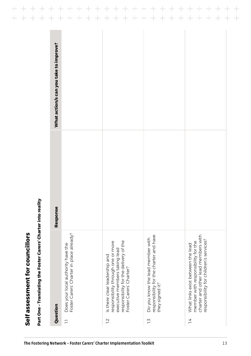<span id="page-12-0"></span>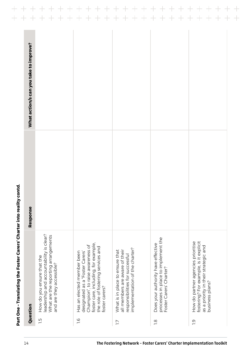| Question                                                                                                                                                                                          | Response | What action/s can you take to improve? |
|---------------------------------------------------------------------------------------------------------------------------------------------------------------------------------------------------|----------|----------------------------------------|
| leadership and accountability is clear?<br>What are the reporting arrangements<br>How do you ensure that the<br>and are they accessible?                                                          |          |                                        |
| foster care, including, for example,<br>Champion", to raise awareness of<br>the role of fostering services and<br>Has an elected member been<br>designated as a "Foster Carers'<br>foster carers? |          |                                        |
| implementation of the charter?<br>What is in place to ensure that<br>all members are aware of their<br>responsibilities for successful                                                            |          |                                        |
| processes in place to implement the<br>Does your authority have effective<br>Foster Carers' Charter?                                                                                              |          |                                        |
| fostering? For example, is it explicit<br>How do partner agencies prioritise<br>as a priority in their strategic and<br>business plans?                                                           |          |                                        |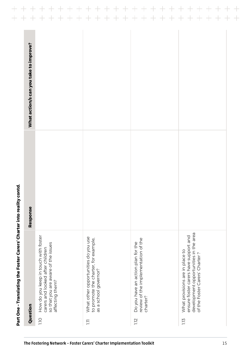| How do you keep in touch with foster<br>What other opportunities do you use<br>to promote the charter, for example,<br>review of the implementation of the<br>Do you have an action plan for the<br>so that you are aware of the issues<br>carers and looked after children<br>as a school governor?<br>affecting them? |  |
|-------------------------------------------------------------------------------------------------------------------------------------------------------------------------------------------------------------------------------------------------------------------------------------------------------------------------|--|
|                                                                                                                                                                                                                                                                                                                         |  |
|                                                                                                                                                                                                                                                                                                                         |  |
| development opportunities in the area<br>ensure foster carers have support and<br>What provisions are in place to<br>of the Foster Carers' Charter?                                                                                                                                                                     |  |
|                                                                                                                                                                                                                                                                                                                         |  |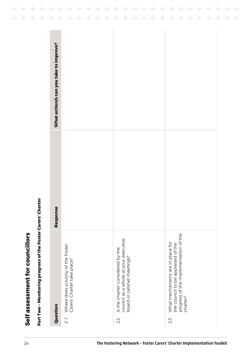| Where does scrutiny of the Foster<br>Carers' Charter take place?<br>Question<br>$\overline{2}$ .                                   | nse<br>Respor | What action/s can you take to improve? |
|------------------------------------------------------------------------------------------------------------------------------------|---------------|----------------------------------------|
| Is the charter considered by the<br>council as a whole at your executive,<br>board or cabinet meetings?<br>2.2                     |               |                                        |
|                                                                                                                                    |               |                                        |
| progress of the implementation of the<br>charter?<br>What mechanisms are in place for<br>the council to be appraised of the<br>2.3 |               |                                        |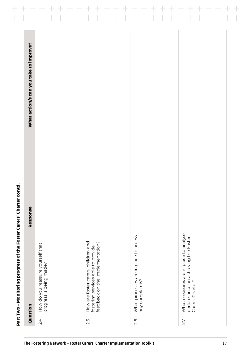|                                                                                                              | Response | What action/s can you take to improve? |
|--------------------------------------------------------------------------------------------------------------|----------|----------------------------------------|
| How do you reassure yourself that<br>progress is being made?                                                 |          |                                        |
| How are foster carers, children and<br>feedback on the implementation?<br>fostering services able to provide |          |                                        |
| What processes are in place to access<br>any complaints?                                                     |          |                                        |
| What measures are in place to analyse<br>performance on achieving the Foster<br>Carers' Charter?             |          |                                        |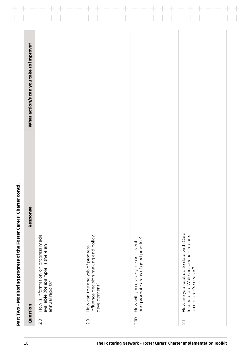| Question                                                                                                          | Response | What action/s can you take to improve? |
|-------------------------------------------------------------------------------------------------------------------|----------|----------------------------------------|
| How is information on progress made<br>available (for example, is there an<br>annual report)?<br>$\frac{8}{2}$    |          |                                        |
| influence decision making and policy<br>How can the analysis of progress<br>development?<br>2.9                   |          |                                        |
| How will you use any lessons learnt<br>and promote areas of good practice?<br><b>210</b>                          |          |                                        |
| How are you kept up to date with Care<br>Inspectorate Wales inspection reports<br>on children's services?<br>2.11 |          |                                        |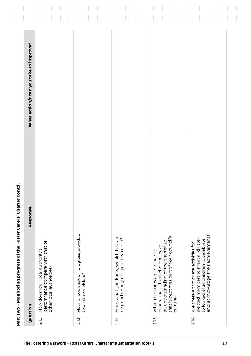|      | Question                                                                                                                                                        | Response | What action/s can you take to improve? |
|------|-----------------------------------------------------------------------------------------------------------------------------------------------------------------|----------|----------------------------------------|
| 2.12 | performance compare with that of<br>How does your local authority's<br>other local authorities?                                                                 |          |                                        |
| 213  | How is feedback on progress provided<br>to all stakeholders?                                                                                                    |          |                                        |
| 2.14 | From what you know, would this care<br>be good enough for your own child?                                                                                       |          |                                        |
| 215  | that it becomes part of your council's<br>an understanding of the charter, so<br>ensure that all stakeholders have<br>What measures are in place to<br>culture? |          |                                        |
| 216  | and acknowledge their achievements?<br>elected members to meet and listen<br>to looked after children to celebrate<br>Are there appropriate activities for      |          |                                        |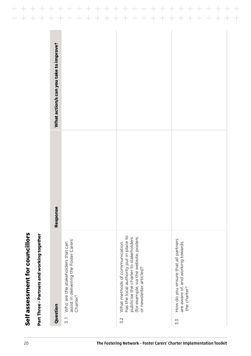| ľ |
|---|
|   |
|   |
|   |
|   |
|   |
|   |
|   |
| ī |
| l |
|   |
| ı |
|   |
| I |
|   |
|   |
| Í |
|   |
|   |
| ı |
|   |
|   |
| ī |
|   |

 $+$ 

 $\begin{array}{c} + \\ + \end{array}$ 

| Part Three - Partners and working together                                                                                                                                                     |          |                                        |
|------------------------------------------------------------------------------------------------------------------------------------------------------------------------------------------------|----------|----------------------------------------|
| Question                                                                                                                                                                                       | Response | What action/s can you take to improve? |
| assist in delivering the Foster Carers'<br>Who are the stakeholders that can<br>Charter?<br>$\overline{5}$ .                                                                                   |          |                                        |
| has the local authority put in place to<br>publicise the charter to stakeholders<br>(for example, via the website, posters<br>What methods of communication<br>or newsletter articles)?<br>3.2 |          |                                        |
| How do you ensure that all partners<br>are aware of, and working towards,<br>the charter?<br>5.3                                                                                               |          |                                        |
|                                                                                                                                                                                                |          |                                        |

 $\frac{+}{+}$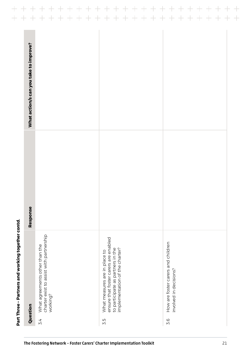|                                        | $\pm$<br>$\pm$<br>$\pm$                                                                | $\pm$<br>$\pm$<br>$\pm$<br>$\pm$<br>$\pm$<br>$\pm$<br>$\pm$                                                                                   | $\boldsymbol{+}$<br>$\pm$<br>$\pm$<br>$\pm$<br>$\boldsymbol{+}$<br>$\pm$<br>$\pm$ | $\pm$<br>$\pm$<br>$\pm$ |
|----------------------------------------|----------------------------------------------------------------------------------------|-----------------------------------------------------------------------------------------------------------------------------------------------|-----------------------------------------------------------------------------------|-------------------------|
| What action/s can you take to improve? |                                                                                        |                                                                                                                                               |                                                                                   |                         |
| Response                               |                                                                                        |                                                                                                                                               |                                                                                   |                         |
| Question                               | charter exist to assist with partnership<br>What agreements other than the<br>working? | ensure that foster carers are enabled<br>implementation of the charter?<br>to participate as partners in the<br>What measures are in place to | How are foster carers and children<br>involved in decisions?                      |                         |
|                                        | 3.4                                                                                    | З.5                                                                                                                                           | 3.6                                                                               |                         |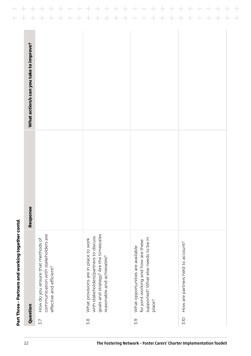|                                                                                                                                                       | Response | What action/s can you take to improve? |
|-------------------------------------------------------------------------------------------------------------------------------------------------------|----------|----------------------------------------|
| communication with stakeholders are<br>How do you ensure that methods of<br>effective and efficient?                                                  |          |                                        |
| goals and strategy? Are the timescales<br>with stakeholders/partners to discuss<br>What provisions are in place to work<br>reasonable and achievable? |          |                                        |
| supported? What else needs to be in<br>for joint working and how are these<br>What opportunities are available                                        |          |                                        |
| How are partners held to account?                                                                                                                     |          |                                        |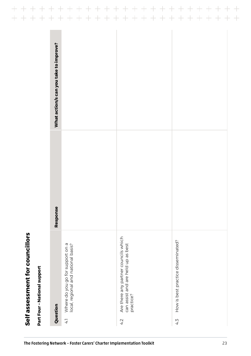|                            | What action/s can you take to improve? |                                                                                            |                                                                                                |                                           |
|----------------------------|----------------------------------------|--------------------------------------------------------------------------------------------|------------------------------------------------------------------------------------------------|-------------------------------------------|
|                            | Response                               |                                                                                            |                                                                                                |                                           |
| Part Four-National support | Question                               | Where do you go for support on a<br>local, regional and national basis?<br>$4\overline{1}$ | Are there any partner councils which<br>can assist and are held up as best<br>practice?<br>4.2 | How is best practice disseminated?<br>4.3 |

# Self assessment for councillors **Self assessment for councillors**

The Fostering Network – Foster Carers' Charter Implementation Toolkit 23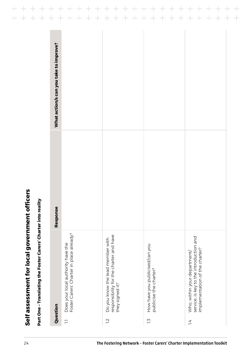<span id="page-23-0"></span>

| How have you publicised/can you<br>publicise the charter? | service, is key to the introduction and<br>implementation of the charter?<br>Who, within your department/ |
|-----------------------------------------------------------|-----------------------------------------------------------------------------------------------------------|
|                                                           |                                                                                                           |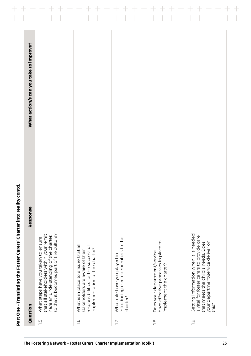| that all stakeholders within your remit<br>What steps have you taken to ensure      |
|-------------------------------------------------------------------------------------|
| so that it becomes part of the culture?<br>have an understanding of the charter,    |
|                                                                                     |
| introducing elected members to the                                                  |
|                                                                                     |
| Getting information when it is needed<br>is vital for foster carers to provide care |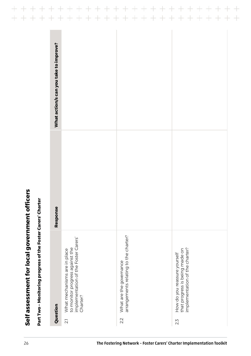| What action/s can you take to improve?                                                                  |                                                                  |                                                                                                  |
|---------------------------------------------------------------------------------------------------------|------------------------------------------------------------------|--------------------------------------------------------------------------------------------------|
| $\mathbf{a}$<br><b>Respons</b>                                                                          |                                                                  |                                                                                                  |
| implementation of the Foster Carers'<br>to monitor progress against the<br>What mechanisms are in place | arrangements relating to the charter?<br>What are the governance | implementation of the charter?<br>that progress is being made on<br>How do you reassure yourself |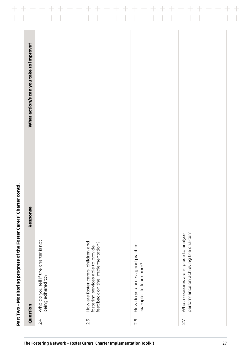|                                        |                                                            | $\pm$<br>$\pm$<br>$\hspace{0.1mm} +$<br>$\rightarrow$                                                        | $\qquad \qquad +$<br>$\hspace{0.1cm} + \hspace{0.1cm}$<br>$\qquad \qquad +$<br>$\qquad \qquad +$<br>$\!+\!$<br>$\pm$ | $\hspace{0.1mm}$ $\hspace{0.1mm}$<br>$\qquad \qquad \, +$<br>$\overline{\phantom{0}}$<br>$\!$ $\!$ |
|----------------------------------------|------------------------------------------------------------|--------------------------------------------------------------------------------------------------------------|----------------------------------------------------------------------------------------------------------------------|----------------------------------------------------------------------------------------------------|
| What action/s can you take to improve? |                                                            |                                                                                                              |                                                                                                                      |                                                                                                    |
| Response                               |                                                            |                                                                                                              |                                                                                                                      |                                                                                                    |
| Question                               | Who do you tell if the charter is not<br>being adhered to? | How are foster carers, children and<br>feedback on the implementation?<br>fostering services able to provide | How do you access good practice<br>examples to learn from?                                                           | performance on achieving the charter?<br>What measures are in place to analyse                     |
|                                        | 24                                                         | 2.5                                                                                                          | 2.6                                                                                                                  | 27                                                                                                 |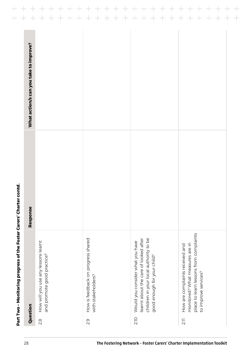|               | Question                                                                                                                                           | Response | What action/s can you take to improve? |
|---------------|----------------------------------------------------------------------------------------------------------------------------------------------------|----------|----------------------------------------|
| $\frac{8}{2}$ | How will you use any lessons learnt<br>and promote good practice?                                                                                  |          |                                        |
| 2.9           | How is feedback on progress shared<br>with stakeholders?                                                                                           |          |                                        |
| <b>210</b>    | children in your local authority to be<br>learnt about the care of looked after<br>Would you consider what you have<br>good enough for your child? |          |                                        |
| 2.11          | place to learn lessons from complaints<br>monitored? What measures are in<br>How are complaints received and<br>to improve services?               |          |                                        |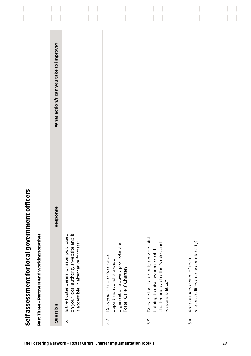| I                                                                                           |  |
|---------------------------------------------------------------------------------------------|--|
|                                                                                             |  |
|                                                                                             |  |
|                                                                                             |  |
|                                                                                             |  |
| ֧֖֧֧֧֧֧֧֧֧֧֧֧֧֚֚֚֚֚֚֚֚֚֚֚֚֚֚֚֚֚֚֚֝֝֓֝֓֝֬֝֓֝֬֝֓֝֬֝֓֓֝֬֝֬֝֬֝֬                                 |  |
|                                                                                             |  |
|                                                                                             |  |
|                                                                                             |  |
|                                                                                             |  |
| İ                                                                                           |  |
|                                                                                             |  |
|                                                                                             |  |
|                                                                                             |  |
|                                                                                             |  |
| J                                                                                           |  |
| -<br> <br> <br>l                                                                            |  |
|                                                                                             |  |
|                                                                                             |  |
| ֚֚֞                                                                                         |  |
|                                                                                             |  |
|                                                                                             |  |
|                                                                                             |  |
|                                                                                             |  |
| ֚֚֬                                                                                         |  |
|                                                                                             |  |
|                                                                                             |  |
| İ                                                                                           |  |
|                                                                                             |  |
| l                                                                                           |  |
| ĺ                                                                                           |  |
| i<br>I                                                                                      |  |
| ı                                                                                           |  |
| ֧֖֖֖֖֖֖֖֖֖֧֖֖֖֖֖֖֧֖֧֖֧֧֧֧֧֧֖֧֖֧֧֧֧֧֧֚֚֚֚֚֚֚֚֚֚֚֚֚֚֚֚֚֬֝֝֓֝֓֝֓֓֓֝֬֓֓֓֝֬֓֓֞֝֬֝֓֞֝֬֓֓֝֬֝֬<br>i |  |

| ۱<br>Ï<br>۱<br>۱ |
|------------------|
|                  |
| ı<br>۱<br>I      |
|                  |
| I                |
|                  |
| l<br>۱           |
|                  |
|                  |
| l                |
| l                |
| i                |
|                  |
| I                |
| ı                |
|                  |
|                  |
|                  |
|                  |
|                  |
| l                |
|                  |
| ۱                |
|                  |

|                         | Part Three - Partners and working together                                                                                              |          |                                        |
|-------------------------|-----------------------------------------------------------------------------------------------------------------------------------------|----------|----------------------------------------|
| Question                |                                                                                                                                         | Response | What action/s can you take to improve? |
| $\overline{\mathbf{5}}$ | on your local authority's website and is<br>Is the Foster Carers' Charter publicised<br>it accessible in alternative formats?           |          |                                        |
| 32                      | organisation actively promote the<br>Does your children's services<br>department and the wider<br>Foster Carers' Charter?               |          |                                        |
| Σ.3                     | Does the local authority provide joint<br>charter and each other's roles and<br>training to raise awareness of the<br>responsibilities? |          |                                        |
| 3.4                     | responsibilities and accountability?<br>Are partners aware of their                                                                     |          |                                        |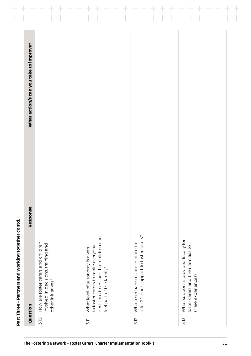| offer 24-hour support to foster carers?<br>decisions to ensure that children can<br>How are foster carers and children<br>involved in decisions, training and<br>What mechanisms are in place to<br>to foster carers to make everyday<br>What level of autonomy is given<br>feel part of the family?<br>other initiatives? |  |
|----------------------------------------------------------------------------------------------------------------------------------------------------------------------------------------------------------------------------------------------------------------------------------------------------------------------------|--|
|                                                                                                                                                                                                                                                                                                                            |  |
|                                                                                                                                                                                                                                                                                                                            |  |
|                                                                                                                                                                                                                                                                                                                            |  |
| What support is provided locally for<br>foster carers and their families to<br>share experiences?                                                                                                                                                                                                                          |  |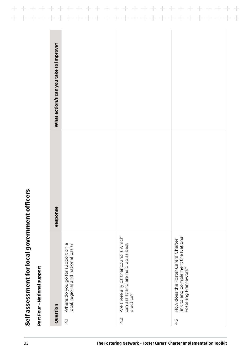| What action/s can you take to improve?<br><b>Se</b><br>Respon                       | Are there any partner councils which            | link to and complement the National<br>How does the Foster Carers' Charter |
|-------------------------------------------------------------------------------------|-------------------------------------------------|----------------------------------------------------------------------------|
| Where do you go for support on a<br>local, regional and national basis?<br>Question | can assist and are held up as best<br>practice? | Fostering Framework?                                                       |

 $\qquad \qquad +$ 

 $\!+\!$ 

 $+$ 

 $\pm$ 

 $\!+\!$ 

 $\frac{1}{\sqrt{2}}$ 

 $+$ 

+ + + + + + + + + +

 $\!+\!$ 

 $\overline{+}$ 

 $+$ 

 $+$ 

 $+ +$ 

 $\pm$ 

 $+$ 

 $\! + \!$ 

 $++ +$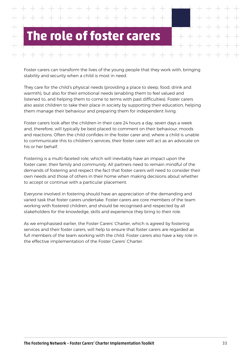## <span id="page-32-0"></span>**The role of foster carers**

Foster carers can transform the lives of the young people that they work with, bringing stability and security when a child is most in need.

They care for the child's physical needs (providing a place to sleep, food, drink and warmth), but also for their emotional needs (enabling them to feel valued and listened to, and helping them to come to terms with past difficulties). Foster carers also assist children to take their place in society by supporting their education, helping them manage their behaviour and preparing them for independent living.

Foster carers look after the children in their care 24 hours a day, seven days a week and, therefore, will typically be best placed to comment on their behaviour, moods and reactions. Often the child confides in the foster carer and, where a child is unable to communicate this to children's services, their foster carer will act as an advocate on his or her behalf.

Fostering is a multi-faceted role, which will inevitably have an impact upon the foster carer, their family and community. All partners need to remain mindful of the demands of fostering and respect the fact that foster carers will need to consider their own needs and those of others in their home when making decisions about whether to accept or continue with a particular placement.

Everyone involved in fostering should have an appreciation of the demanding and varied task that foster carers undertake. Foster carers are core members of the team working with fostered children, and should be recognised and respected by all stakeholders for the knowledge, skills and experience they bring to their role.

As we emphasised earlier, the Foster Carers' Charter, which is agreed by fostering services and their foster carers, will help to ensure that foster carers are regarded as full members of the team working with the child. Foster carers also have a key role in the effective implementation of the Foster Carers' Charter.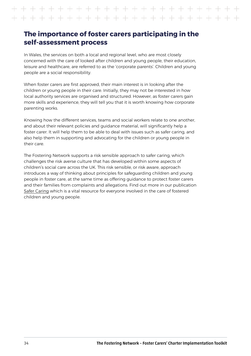#### **The importance of foster carers participating in the self-assessment process**

In Wales, the services on both a local and regional level, who are most closely concerned with the care of looked after children and young people, their education, leisure and healthcare, are referred to as the 'corporate parents'. Children and young people are a social responsibility.

When foster carers are first approved, their main interest is in looking after the children or young people in their care. Initially, they may not be interested in how local authority services are organised and structured. However, as foster carers gain more skills and experience, they will tell you that it is worth knowing how corporate parenting works.

Knowing how the different services, teams and social workers relate to one another, and about their relevant policies and guidance material, will significantly help a foster carer. It will help them to be able to deal with issues such as safer caring, and also help them in supporting and advocating for the children or young people in their care.

The Fostering Network supports a risk sensible approach to safer caring, which challenges the risk averse culture that has developed within some aspects of children's social care across the UK. This risk sensible, or risk aware, approach introduces a way of thinking about principles for safeguarding children and young people in foster care, at the same time as offering guidance to protect foster carers and their families from complaints and allegations. Find out more in our publication [Safer Caring](http://fosteringresources.co.uk/?cid=1&sid=4&pid=497) which is a vital resource for everyone involved in the care of fostered children and young people.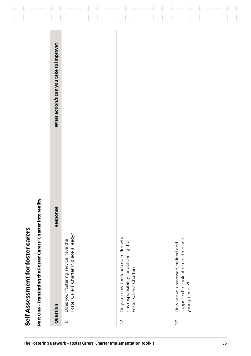<span id="page-34-0"></span>

| Response | What action/s can you take to improve?   |                                       |                                      |
|----------|------------------------------------------|---------------------------------------|--------------------------------------|
|          | Foster Carers' Charter in place already? | Do you know the lead councillor who   | supported to look after children and |
|          | Does your fostering service have the     | has responsibility for delivering the | How are you assessed, trained and    |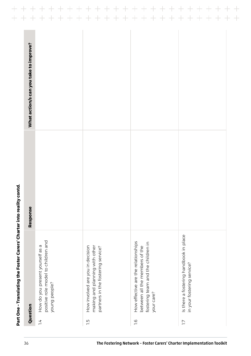| Question                                                                                                                  | Response | What action/s can you take to improve? |
|---------------------------------------------------------------------------------------------------------------------------|----------|----------------------------------------|
| positive role model to children and<br>How do you present yourself as a<br>young people?                                  |          |                                        |
| making and planning with other<br>How involved are you in decision<br>partners in the fostering service?                  |          |                                        |
| How effective are the relationships<br>fostering team and the children in<br>between all the members of the<br>your care? |          |                                        |
| Is there a fostering handbook in place<br>in your fostering service?                                                      |          |                                        |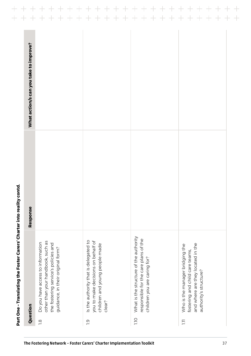|                                                                                                                                                     | Response | What action/s can you take to improve? |
|-----------------------------------------------------------------------------------------------------------------------------------------------------|----------|----------------------------------------|
| other than your handbook, such as<br>Do you have access to information<br>the fostering service's policies and<br>guidance, in their original form? |          |                                        |
| Is the authority that is delegated to<br>you to make decisions on behalf of<br>children and young people made                                       |          |                                        |
| What is the structure of the authority<br>responsible for the care plans of the<br>children you are caring for?                                     |          |                                        |
| and where are they located in the<br>Who is the manager bridging the<br>fostering and child care teams,<br>authority's structure?                   |          |                                        |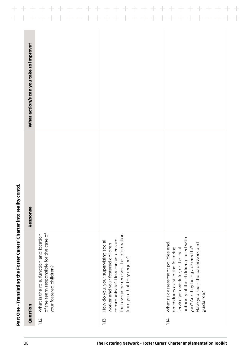| Question          |                                                                                                                                                                                                                             | Response | What action/s can you take to improve? |
|-------------------|-----------------------------------------------------------------------------------------------------------------------------------------------------------------------------------------------------------------------------|----------|----------------------------------------|
| 1.12              | of the team responsible for the case of<br>What is the role, function and location<br>your fostered children?                                                                                                               |          |                                        |
| 1.13              | that everyone receives the information<br>communicate? How can you ensure<br>How do you, your supervising social<br>worker and your fostered children<br>from you that they require?                                        |          |                                        |
| guidance?<br>1.14 | authority of the children placed with<br>Have you seen the paperwork and<br>What risk assessment policies and<br>you? Are they being adhered to?<br>procedures exist in the fostering<br>service you work for, or the local |          |                                        |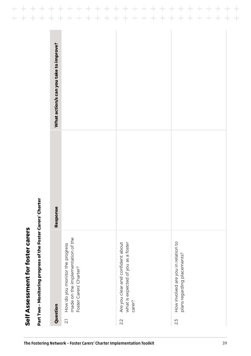| What action/s can you take to improve?<br>Response |                                                                                                                   |                                                                                           |                                                                           |
|----------------------------------------------------|-------------------------------------------------------------------------------------------------------------------|-------------------------------------------------------------------------------------------|---------------------------------------------------------------------------|
| Question                                           | made on the implementation of the<br>How do you monitor the progress<br>Foster Carers' Charter?<br>$\overline{2}$ | Are you clear and confident about<br>what is expected of you as a foster<br>carer?<br>2.2 | How involved are you in relation to<br>plans regarding placements?<br>2.5 |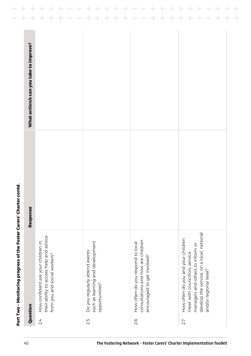|                                                                                                                                                                                 | Response | What action/s can you take to improve? |
|---------------------------------------------------------------------------------------------------------------------------------------------------------------------------------|----------|----------------------------------------|
| their ability to access help and advice<br>How confident are your children in<br>from you and social workers?                                                                   |          |                                        |
| such as learning and development<br>Do you regularly attend events<br>opportunities?                                                                                            |          |                                        |
| consultations and how are children<br>How often do you respond to local<br>encouraged to get involved?                                                                          |          |                                        |
| develop the service, on a local, national<br>How often do you and your children<br>managers and others to inform or<br>meet with councillors, service<br>and/or regional level? |          |                                        |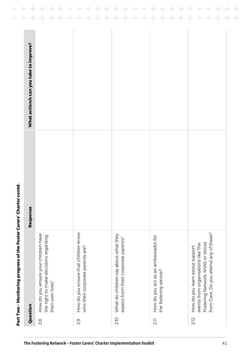| Question                                                                                                                                            | Response | What action/s can you take to improve? |
|-----------------------------------------------------------------------------------------------------------------------------------------------------|----------|----------------------------------------|
| How do you ensure your children have<br>the right to make decisions regarding<br>their own lives?                                                   |          |                                        |
| How do you ensure that children know<br>who their corporate parents are?                                                                            |          |                                        |
| What do children say about what they<br>expect from their corporate parents?                                                                        |          |                                        |
| How do you act as an ambassador for<br>the fostering service?                                                                                       |          |                                        |
| from Care. Do you attend any of these?<br>Fostering Network, NYAS or Voices<br>events from organisations like The<br>How do you learn about support |          |                                        |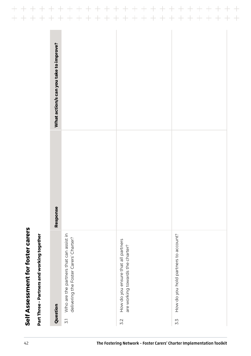| I<br>ı |
|--------|
| l      |
|        |
|        |
|        |
|        |
|        |
|        |
| ı      |
| J      |
|        |
|        |
|        |
|        |
|        |
| í      |
|        |
|        |
|        |
|        |
|        |
| ı      |
|        |
|        |
|        |
|        |
|        |
| ì      |
|        |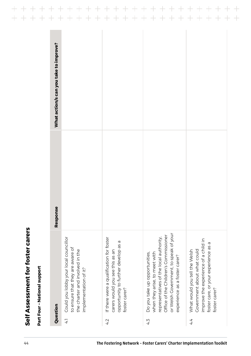| I |
|---|
|   |
|   |
|   |
|   |
| ľ |
|   |
| i |
| ı |
| ı |
|   |
|   |
|   |
|   |
|   |
| ì |
|   |
|   |
|   |
| ı |
|   |
|   |
|   |
|   |
|   |
|   |
|   |
|   |
| ı |

|                 | Part Four-National support                                                                                                                                                                                                   |          |                                        |
|-----------------|------------------------------------------------------------------------------------------------------------------------------------------------------------------------------------------------------------------------------|----------|----------------------------------------|
|                 | Question                                                                                                                                                                                                                     | Response | What action/s can you take to improve? |
| $\overline{+1}$ | Could you lobby your local councillor<br>to ensure that they are aware of<br>the charter and involved in the<br>implementation of it?                                                                                        |          |                                        |
| 4.2             | If there were a qualification for foster<br>opportunity to further develop as a<br>carers would you see this as an<br>foster carer?                                                                                          |          |                                        |
| 4.5             | or Welsh Government, to speak of your<br>Office of the Children's Commissioner<br>representatives of the local authority,<br>when they arise, to meet with<br>Do you take up opportunities,<br>experience as a foster carer? |          |                                        |
| 4.4             | improve the experience of a child in<br>foster care, or your experience as a<br>Government about what could<br>What would you tell the Welsh<br>foster carer?                                                                |          |                                        |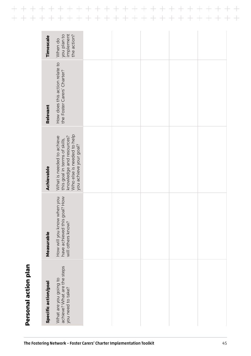|                      | you plan to<br>implement<br>How does this action relate to                                                                                     |  |  |  |
|----------------------|------------------------------------------------------------------------------------------------------------------------------------------------|--|--|--|
| Relevant             | the Foster Carers' Charter?                                                                                                                    |  |  |  |
| Achievable           | Who else is needed to help<br>knowledge and resources?<br>What is needed to achieve<br>this goal in terms of skills,<br>you achieve your goal? |  |  |  |
| Measurable           | goal? How<br>How will you know when you<br>have achieved this<br>will others know?                                                             |  |  |  |
| Specific action/goal | achieve? What are the steps<br>What are you going to<br>you need to take?                                                                      |  |  |  |

<span id="page-44-0"></span> $\!+\!$ 

 $\overline{+}$ 

 $+$ 

 $+$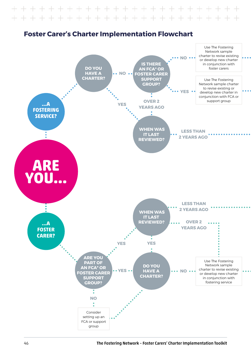### <span id="page-45-0"></span> $+ + + +$  $+ + + +$



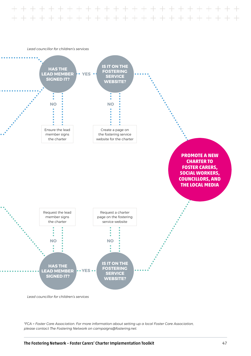+ + + + + + + + + + + + + + + +



*\*FCA = Foster Care Association. For more information about setting up a local Foster Care Association, please contact The Fostering Network on [campaigns@fostering.net.](mailto:campaigns%40fostering.net?subject=)*